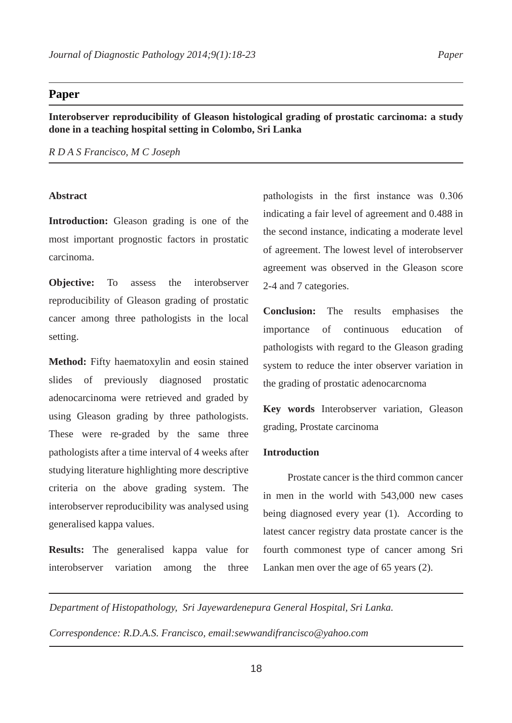## **Paper**

**Interobserver reproducibility of Gleason histological grading of prostatic carcinoma: a study done in a teaching hospital setting in Colombo, Sri Lanka**

*R D A S Francisco, M C Joseph*

### **Abstract**

**Introduction:** Gleason grading is one of the most important prognostic factors in prostatic carcinoma.

**Objective:** To assess the interobserver reproducibility of Gleason grading of prostatic cancer among three pathologists in the local setting.

**Method:** Fifty haematoxylin and eosin stained slides of previously diagnosed prostatic adenocarcinoma were retrieved and graded by using Gleason grading by three pathologists. These were re-graded by the same three pathologists after a time interval of 4 weeks after studying literature highlighting more descriptive criteria on the above grading system. The interobserver reproducibility was analysed using generalised kappa values.

**Results:** The generalised kappa value for interobserver variation among the three pathologists in the first instance was 0.306 indicating a fair level of agreement and 0.488 in the second instance, indicating a moderate level of agreement. The lowest level of interobserver agreement was observed in the Gleason score 2-4 and 7 categories.

**Conclusion:** The results emphasises the importance of continuous education of pathologists with regard to the Gleason grading system to reduce the inter observer variation in the grading of prostatic adenocarcnoma

**Key words** Interobserver variation, Gleason grading, Prostate carcinoma

# **Introduction**

Prostate cancer is the third common cancer in men in the world with 543,000 new cases being diagnosed every year (1). According to latest cancer registry data prostate cancer is the fourth commonest type of cancer among Sri Lankan men over the age of 65 years (2).

*Department of Histopathology, Sri Jayewardenepura General Hospital, Sri Lanka.*

*Correspondence: R.D.A.S. Francisco, email:sewwandifrancisco@yahoo.com*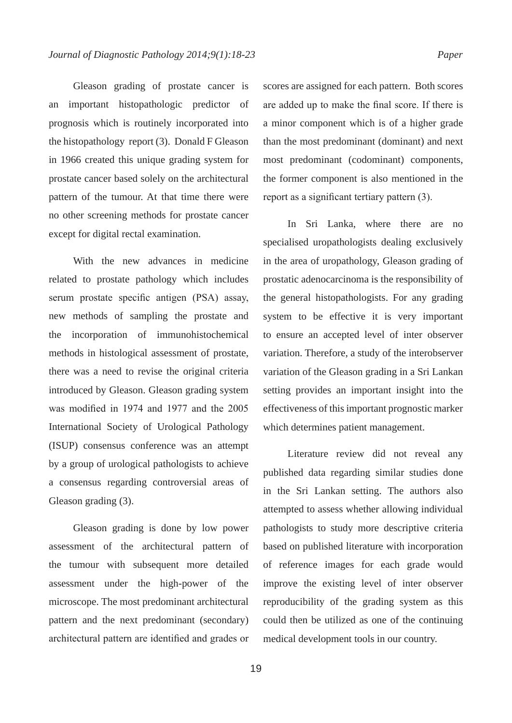Gleason grading of prostate cancer is an important histopathologic predictor of prognosis which is routinely incorporated into the histopathology report (3). Donald F Gleason in 1966 created this unique grading system for prostate cancer based solely on the architectural pattern of the tumour. At that time there were no other screening methods for prostate cancer except for digital rectal examination.

With the new advances in medicine related to prostate pathology which includes serum prostate specific antigen (PSA) assay, new methods of sampling the prostate and the incorporation of immunohistochemical methods in histological assessment of prostate, there was a need to revise the original criteria introduced by Gleason. Gleason grading system was modified in 1974 and 1977 and the 2005 International Society of Urological Pathology (ISUP) consensus conference was an attempt by a group of urological pathologists to achieve a consensus regarding controversial areas of Gleason grading (3).

Gleason grading is done by low power assessment of the architectural pattern of the tumour with subsequent more detailed assessment under the high-power of the microscope. The most predominant architectural pattern and the next predominant (secondary) architectural pattern are identified and grades or scores are assigned for each pattern. Both scores are added up to make the final score. If there is a minor component which is of a higher grade than the most predominant (dominant) and next most predominant (codominant) components, the former component is also mentioned in the report as a significant tertiary pattern (3).

In Sri Lanka, where there are no specialised uropathologists dealing exclusively in the area of uropathology, Gleason grading of prostatic adenocarcinoma is the responsibility of the general histopathologists. For any grading system to be effective it is very important to ensure an accepted level of inter observer variation. Therefore, a study of the interobserver variation of the Gleason grading in a Sri Lankan setting provides an important insight into the effectiveness of this important prognostic marker which determines patient management.

Literature review did not reveal any published data regarding similar studies done in the Sri Lankan setting. The authors also attempted to assess whether allowing individual pathologists to study more descriptive criteria based on published literature with incorporation of reference images for each grade would improve the existing level of inter observer reproducibility of the grading system as this could then be utilized as one of the continuing medical development tools in our country.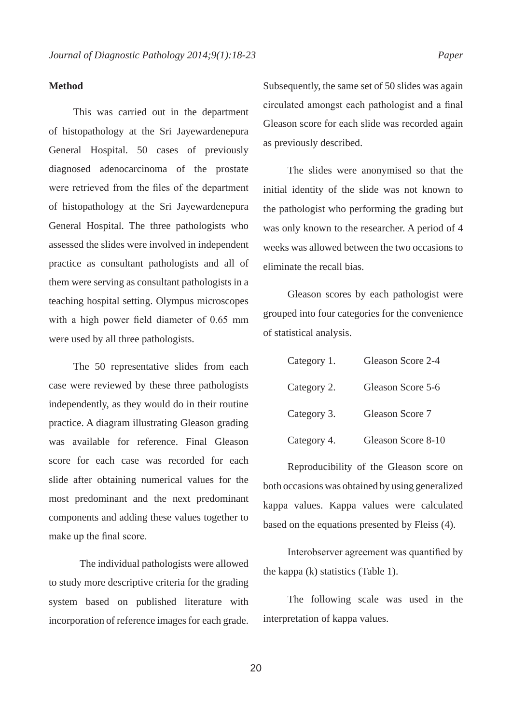#### **Method**

This was carried out in the department of histopathology at the Sri Jayewardenepura General Hospital. 50 cases of previously diagnosed adenocarcinoma of the prostate were retrieved from the files of the department of histopathology at the Sri Jayewardenepura General Hospital. The three pathologists who assessed the slides were involved in independent practice as consultant pathologists and all of them were serving as consultant pathologists in a teaching hospital setting. Olympus microscopes with a high power field diameter of 0.65 mm were used by all three pathologists.

The 50 representative slides from each case were reviewed by these three pathologists independently, as they would do in their routine practice. A diagram illustrating Gleason grading was available for reference. Final Gleason score for each case was recorded for each slide after obtaining numerical values for the most predominant and the next predominant components and adding these values together to make up the final score.

The individual pathologists were allowed to study more descriptive criteria for the grading system based on published literature with incorporation of reference images for each grade.

Subsequently, the same set of 50 slides was again circulated amongst each pathologist and a final Gleason score for each slide was recorded again as previously described.

The slides were anonymised so that the initial identity of the slide was not known to the pathologist who performing the grading but was only known to the researcher. A period of 4 weeks was allowed between the two occasions to eliminate the recall bias.

Gleason scores by each pathologist were grouped into four categories for the convenience of statistical analysis.

| Category 1. | Gleason Score 2-4  |
|-------------|--------------------|
| Category 2. | Gleason Score 5-6  |
| Category 3. | Gleason Score 7    |
| Category 4. | Gleason Score 8-10 |

Reproducibility of the Gleason score on both occasions was obtained by using generalized kappa values. Kappa values were calculated based on the equations presented by Fleiss (4).

Interobserver agreement was quantified by the kappa (k) statistics (Table 1).

The following scale was used in the interpretation of kappa values.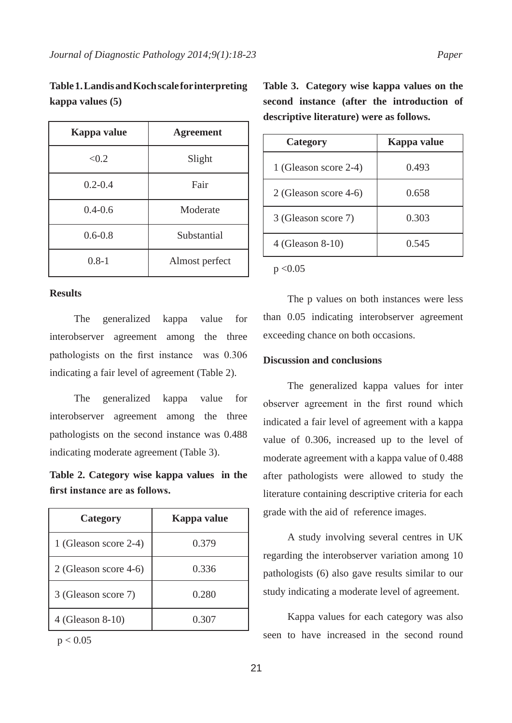| Table 1. Landis and Koch scale for interpreting |  |
|-------------------------------------------------|--|
| kappa values (5)                                |  |

| Kappa value | <b>Agreement</b> |
|-------------|------------------|
| < 0.2       | Slight           |
| $0.2 - 0.4$ | Fair             |
| $0.4 - 0.6$ | Moderate         |
| $0.6 - 0.8$ | Substantial      |
| $0.8 - 1$   | Almost perfect   |

### **Results**

The generalized kappa value for interobserver agreement among the three pathologists on the first instance was 0.306 indicating a fair level of agreement (Table 2).

The generalized kappa value for interobserver agreement among the three pathologists on the second instance was 0.488 indicating moderate agreement (Table 3).

**Table 2. Category wise kappa values in the first instance are as follows.**

| Category              | Kappa value |
|-----------------------|-------------|
| 1 (Gleason score 2-4) | 0.379       |
| 2 (Gleason score 4-6) | 0.336       |
| 3 (Gleason score 7)   | 0.280       |
| 4 (Gleason 8-10)      | 0.307       |

 $p < 0.05$ 

**Table 3. Category wise kappa values on the second instance (after the introduction of descriptive literature) were as follows.**

| Category              | Kappa value |
|-----------------------|-------------|
| 1 (Gleason score 2-4) | 0.493       |
| 2 (Gleason score 4-6) | 0.658       |
| 3 (Gleason score 7)   | 0.303       |
| 4 (Gleason 8-10)      | 0.545       |

 $p < 0.05$ 

The p values on both instances were less than 0.05 indicating interobserver agreement exceeding chance on both occasions.

#### **Discussion and conclusions**

The generalized kappa values for inter observer agreement in the first round which indicated a fair level of agreement with a kappa value of 0.306, increased up to the level of moderate agreement with a kappa value of 0.488 after pathologists were allowed to study the literature containing descriptive criteria for each grade with the aid of reference images.

A study involving several centres in UK regarding the interobserver variation among 10 pathologists (6) also gave results similar to our study indicating a moderate level of agreement.

Kappa values for each category was also seen to have increased in the second round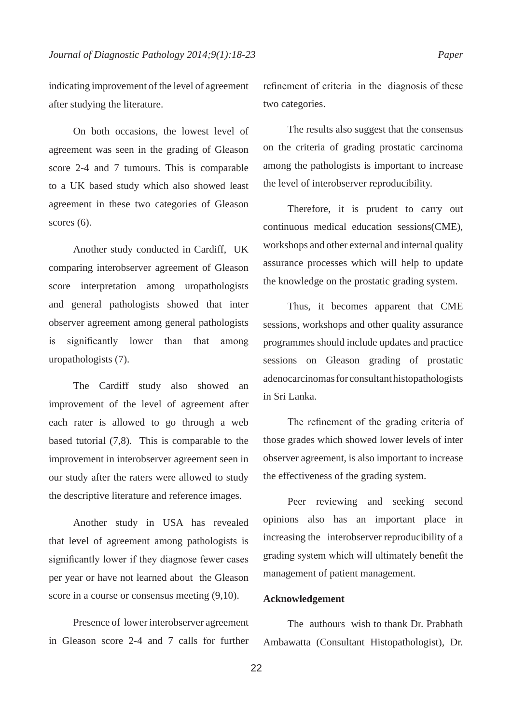indicating improvement of the level of agreement after studying the literature.

On both occasions, the lowest level of agreement was seen in the grading of Gleason score 2-4 and 7 tumours. This is comparable to a UK based study which also showed least agreement in these two categories of Gleason scores  $(6)$ .

Another study conducted in Cardiff, UK comparing interobserver agreement of Gleason score interpretation among uropathologists and general pathologists showed that inter observer agreement among general pathologists is significantly lower than that among uropathologists (7).

The Cardiff study also showed an improvement of the level of agreement after each rater is allowed to go through a web based tutorial (7,8). This is comparable to the improvement in interobserver agreement seen in our study after the raters were allowed to study the descriptive literature and reference images.

Another study in USA has revealed that level of agreement among pathologists is significantly lower if they diagnose fewer cases per year or have not learned about the Gleason score in a course or consensus meeting (9,10).

Presence of lower interobserver agreement in Gleason score 2-4 and 7 calls for further refinement of criteria in the diagnosis of these two categories.

The results also suggest that the consensus on the criteria of grading prostatic carcinoma among the pathologists is important to increase the level of interobserver reproducibility.

Therefore, it is prudent to carry out continuous medical education sessions(CME), workshops and other external and internal quality assurance processes which will help to update the knowledge on the prostatic grading system.

Thus, it becomes apparent that CME sessions, workshops and other quality assurance programmes should include updates and practice sessions on Gleason grading of prostatic adenocarcinomas for consultant histopathologists in Sri Lanka.

The refinement of the grading criteria of those grades which showed lower levels of inter observer agreement, is also important to increase the effectiveness of the grading system.

Peer reviewing and seeking second opinions also has an important place in increasing the interobserver reproducibility of a grading system which will ultimately benefit the management of patient management.

# **Acknowledgement**

The authours wish to thank Dr. Prabhath Ambawatta (Consultant Histopathologist), Dr.